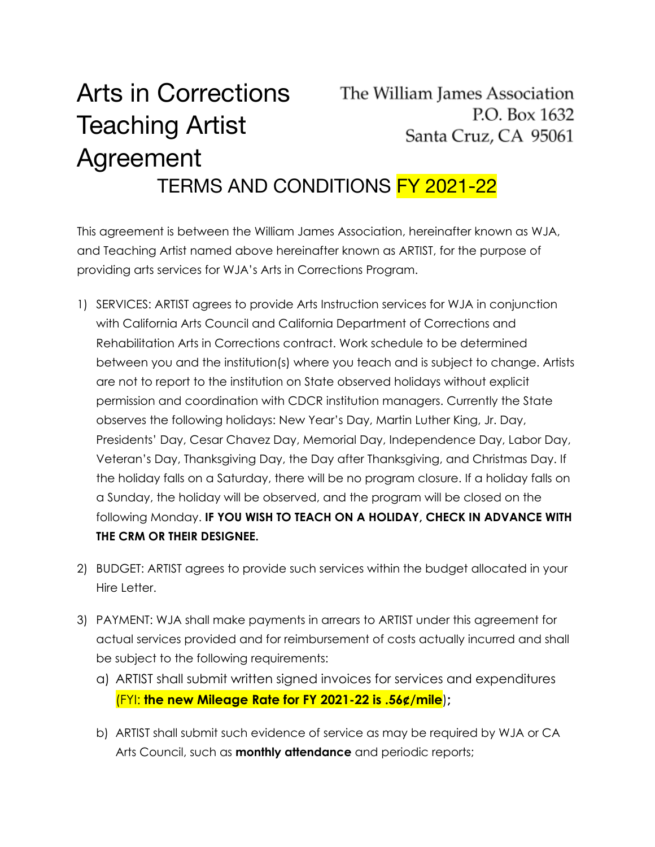## Arts in Corrections The William James Association P.O. Box 1632 Teaching Artist Santa Cruz, CA 95061 Agreement TERMS AND CONDITIONS FY 2021-22

This agreement is between the William James Association, hereinafter known as WJA, and Teaching Artist named above hereinafter known as ARTIST, for the purpose of providing arts services for WJA's Arts in Corrections Program.

- 1) SERVICES: ARTIST agrees to provide Arts Instruction services for WJA in conjunction with California Arts Council and California Department of Corrections and Rehabilitation Arts in Corrections contract. Work schedule to be determined between you and the institution(s) where you teach and is subject to change. Artists are not to report to the institution on State observed holidays without explicit permission and coordination with CDCR institution managers. Currently the State observes the following holidays: New Year's Day, Martin Luther King, Jr. Day, Presidents' Day, Cesar Chavez Day, Memorial Day, Independence Day, Labor Day, Veteran's Day, Thanksgiving Day, the Day after Thanksgiving, and Christmas Day. If the holiday falls on a Saturday, there will be no program closure. If a holiday falls on a Sunday, the holiday will be observed, and the program will be closed on the following Monday. **IF YOU WISH TO TEACH ON A HOLIDAY, CHECK IN ADVANCE WITH THE CRM OR THEIR DESIGNEE.**
- 2) BUDGET: ARTIST agrees to provide such services within the budget allocated in your Hire Letter.
- 3) PAYMENT: WJA shall make payments in arrears to ARTIST under this agreement for actual services provided and for reimbursement of costs actually incurred and shall be subject to the following requirements:
	- a) ARTIST shall submit written signed invoices for services and expenditures (FYI: **the new Mileage Rate for FY 2021-22 is .56¢/mile**)**;**
	- b) ARTIST shall submit such evidence of service as may be required by WJA or CA Arts Council, such as **monthly attendance** and periodic reports;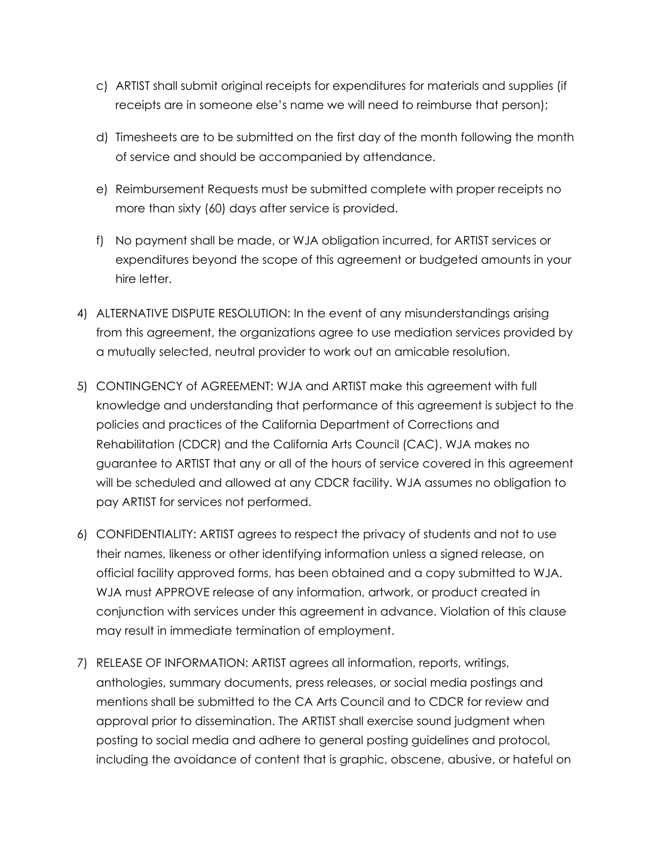- c) ARTIST shall submit original receipts for expenditures for materials and supplies (if receipts are in someone else's name we will need to reimburse that person);
- d) Timesheets are to be submitted on the first day of the month following the month of service and should be accompanied by attendance.
- e) Reimbursement Requests must be submitted complete with proper receipts no more than sixty (60) days after service is provided.
- f) No payment shall be made, or WJA obligation incurred, for ARTIST services or expenditures beyond the scope of this agreement or budgeted amounts in your hire letter.
- 4) ALTERNATIVE DISPUTE RESOLUTION: In the event of any misunderstandings arising from this agreement, the organizations agree to use mediation services provided by a mutually selected, neutral provider to work out an amicable resolution.
- 5) CONTINGENCY of AGREEMENT: WJA and ARTIST make this agreement with full knowledge and understanding that performance of this agreement is subject to the policies and practices of the California Department of Corrections and Rehabilitation (CDCR) and the California Arts Council (CAC). WJA makes no guarantee to ARTIST that any or all of the hours of service covered in this agreement will be scheduled and allowed at any CDCR facility. WJA assumes no obligation to pay ARTIST for services not performed.
- 6) CONFIDENTIALITY: ARTIST agrees to respect the privacy of students and not to use their names, likeness or other identifying information unless a signed release, on official facility approved forms, has been obtained and a copy submitted to WJA. WJA must APPROVE release of any information, artwork, or product created in conjunction with services under this agreement in advance. Violation of this clause may result in immediate termination of employment.
- 7) RELEASE OF INFORMATION: ARTIST agrees all information, reports, writings, anthologies, summary documents, press releases, or social media postings and mentions shall be submitted to the CA Arts Council and to CDCR for review and approval prior to dissemination. The ARTIST shall exercise sound judgment when posting to social media and adhere to general posting guidelines and protocol, including the avoidance of content that is graphic, obscene, abusive, or hateful on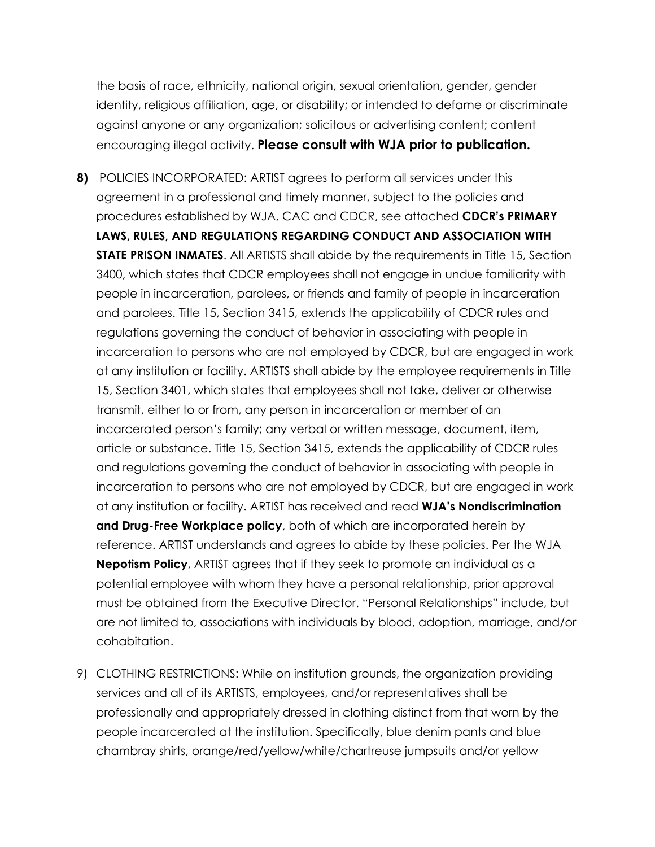the basis of race, ethnicity, national origin, sexual orientation, gender, gender identity, religious affiliation, age, or disability; or intended to defame or discriminate against anyone or any organization; solicitous or advertising content; content encouraging illegal activity. **Please consult with WJA prior to publication.**

**8)** POLICIES INCORPORATED: ARTIST agrees to perform all services under this agreement in a professional and timely manner, subject to the policies and procedures established by WJA, CAC and CDCR, see attached **CDCR's PRIMARY LAWS, RULES, AND REGULATIONS REGARDING CONDUCT AND ASSOCIATION WITH STATE PRISON INMATES**. All ARTISTS shall abide by the requirements in Title 15, Section 3400, which states that CDCR employees shall not engage in undue familiarity with people in incarceration, parolees, or friends and family of people in incarceration and parolees. Title 15, Section 3415, extends the applicability of CDCR rules and regulations governing the conduct of behavior in associating with people in incarceration to persons who are not employed by CDCR, but are engaged in work at any institution or facility. ARTISTS shall abide by the employee requirements in Title 15, Section 3401, which states that employees shall not take, deliver or otherwise transmit, either to or from, any person in incarceration or member of an incarcerated person's family; any verbal or written message, document, item, article or substance. Title 15, Section 3415, extends the applicability of CDCR rules and regulations governing the conduct of behavior in associating with people in incarceration to persons who are not employed by CDCR, but are engaged in work at any institution or facility. ARTIST has received and read **WJA's Nondiscrimination and Drug-Free Workplace policy**, both of which are incorporated herein by reference. ARTIST understands and agrees to abide by these policies. Per the WJA **Nepotism Policy**, ARTIST agrees that if they seek to promote an individual as a potential employee with whom they have a personal relationship, prior approval must be obtained from the Executive Director. "Personal Relationships" include, but are not limited to, associations with individuals by blood, adoption, marriage, and/or cohabitation.

9) CLOTHING RESTRICTIONS: While on institution grounds, the organization providing services and all of its ARTISTS, employees, and/or representatives shall be professionally and appropriately dressed in clothing distinct from that worn by the people incarcerated at the institution. Specifically, blue denim pants and blue chambray shirts, orange/red/yellow/white/chartreuse jumpsuits and/or yellow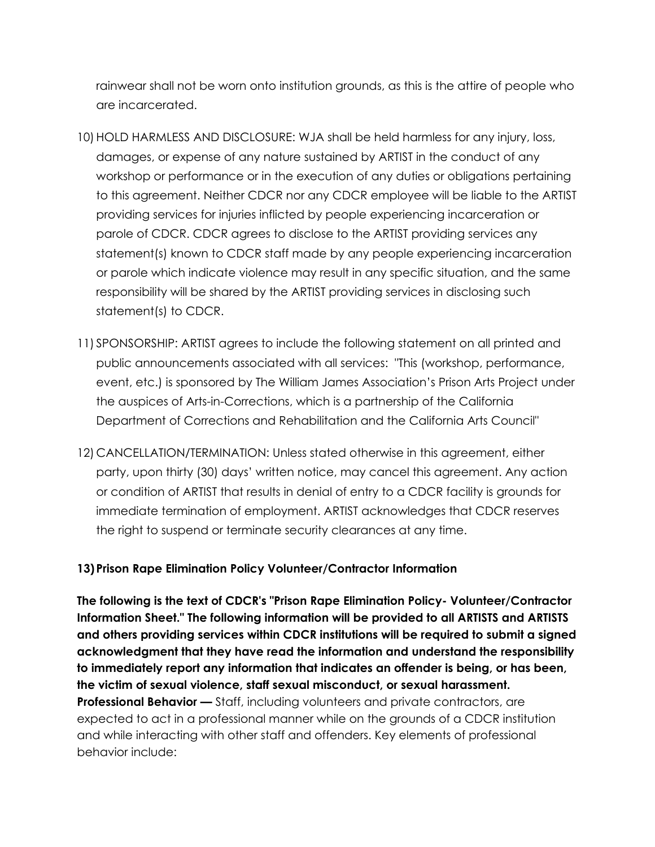rainwear shall not be worn onto institution grounds, as this is the attire of people who are incarcerated.

- 10) HOLD HARMLESS AND DISCLOSURE: WJA shall be held harmless for any injury, loss, damages, or expense of any nature sustained by ARTIST in the conduct of any workshop or performance or in the execution of any duties or obligations pertaining to this agreement. Neither CDCR nor any CDCR employee will be liable to the ARTIST providing services for injuries inflicted by people experiencing incarceration or parole of CDCR. CDCR agrees to disclose to the ARTIST providing services any statement(s) known to CDCR staff made by any people experiencing incarceration or parole which indicate violence may result in any specific situation, and the same responsibility will be shared by the ARTIST providing services in disclosing such statement(s) to CDCR.
- 11) SPONSORSHIP: ARTIST agrees to include the following statement on all printed and public announcements associated with all services: "This (workshop, performance, event, etc.) is sponsored by The William James Association's Prison Arts Project under the auspices of Arts-in-Corrections, which is a partnership of the California Department of Corrections and Rehabilitation and the California Arts Council"
- 12) CANCELLATION/TERMINATION: Unless stated otherwise in this agreement, either party, upon thirty (30) days' written notice, may cancel this agreement. Any action or condition of ARTIST that results in denial of entry to a CDCR facility is grounds for immediate termination of employment. ARTIST acknowledges that CDCR reserves the right to suspend or terminate security clearances at any time.

## **13)Prison Rape Elimination Policy Volunteer/Contractor Information**

**The following is the text of CDCR's "Prison Rape Elimination Policy- Volunteer/Contractor Information Sheet." The following information will be provided to all ARTISTS and ARTISTS and others providing services within CDCR institutions will be required to submit a signed acknowledgment that they have read the information and understand the responsibility to immediately report any information that indicates an offender is being, or has been, the victim of sexual violence, staff sexual misconduct, or sexual harassment. Professional Behavior —** Staff, including volunteers and private contractors, are expected to act in a professional manner while on the grounds of a CDCR institution and while interacting with other staff and offenders. Key elements of professional behavior include: